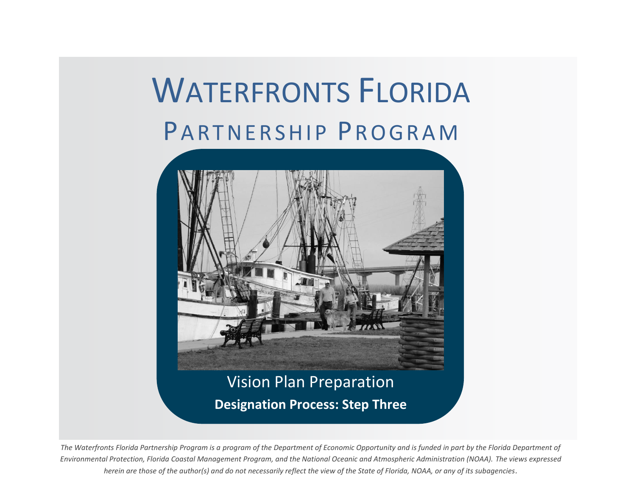# <span id="page-0-0"></span>WATERFRONTS FLORIDA PARTNERSHIP PROGRAM



**Designation Process: Step Three**

The Waterfronts Florida Partnership Program is a program of the Department of Economic Opportunity and is funded in part by the Florida Department of *Environmental Protection, Florida Coastal Management Program, and the National Oceanic and Atmospheric Administration (NOAA). The views expressed herein are those of the author(s) and do not necessarily reflect the view of the State of Florida, NOAA, or any of its subagencies.*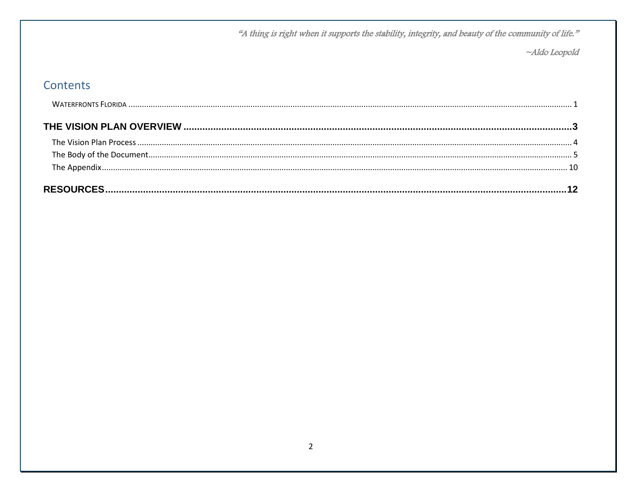"A thing is right when it supports the stability, integrity, and beauty of the community of life."

~Aldo Leopold

## Contents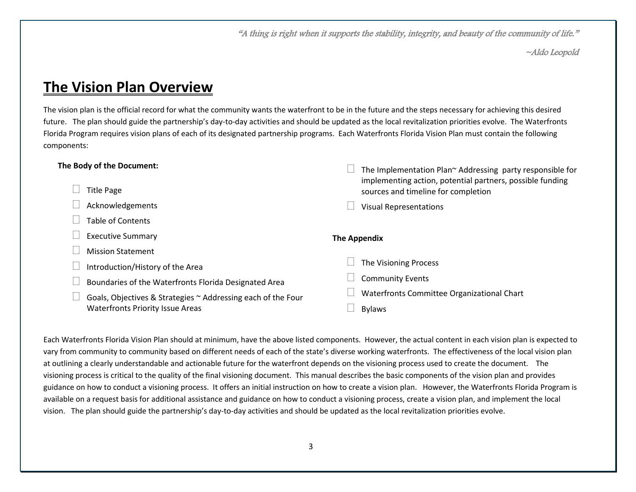"A thing is right when it supports the stability, integrity, and beauty of the community of life."

~Aldo Leopold

## <span id="page-2-0"></span>**The Vision Plan Overview**

The vision plan is the official record for what the community wants the waterfront to be in the future and the steps necessary for achieving this desired future. The plan should guide the partnership's day-to-day activities and should be updated as the local revitalization priorities evolve. The Waterfronts Florida Program requires vision plans of each of its designated partnership programs. Each Waterfronts Florida Vision Plan must contain the following components:

| The Body of the Document:                                    | The Implementation Plan~ Addressing party responsible for                                        |
|--------------------------------------------------------------|--------------------------------------------------------------------------------------------------|
| Title Page                                                   | implementing action, potential partners, possible funding<br>sources and timeline for completion |
| Acknowledgements                                             | <b>Visual Representations</b>                                                                    |
| <b>Table of Contents</b>                                     |                                                                                                  |
| <b>Executive Summary</b>                                     | <b>The Appendix</b>                                                                              |
| <b>Mission Statement</b>                                     |                                                                                                  |
| Introduction/History of the Area                             | The Visioning Process                                                                            |
| Boundaries of the Waterfronts Florida Designated Area        | <b>Community Events</b>                                                                          |
| Goals, Objectives & Strategies ~ Addressing each of the Four | Waterfronts Committee Organizational Chart                                                       |
| <b>Waterfronts Priority Issue Areas</b>                      | <b>Bylaws</b>                                                                                    |
|                                                              |                                                                                                  |

Each Waterfronts Florida Vision Plan should at minimum, have the above listed components. However, the actual content in each vision plan is expected to vary from community to community based on different needs of each of the state's diverse working waterfronts. The effectiveness of the local vision plan at outlining a clearly understandable and actionable future for the waterfront depends on the visioning process used to create the document. The visioning process is critical to the quality of the final visioning document. This manual describes the basic components of the vision plan and provides guidance on how to conduct a visioning process. It offers an initial instruction on how to create a vision plan. However, the Waterfronts Florida Program is available on a request basis for additional assistance and guidance on how to conduct a visioning process, create a vision plan, and implement the local vision. The plan should guide the partnership's day-to-day activities and should be updated as the local revitalization priorities evolve.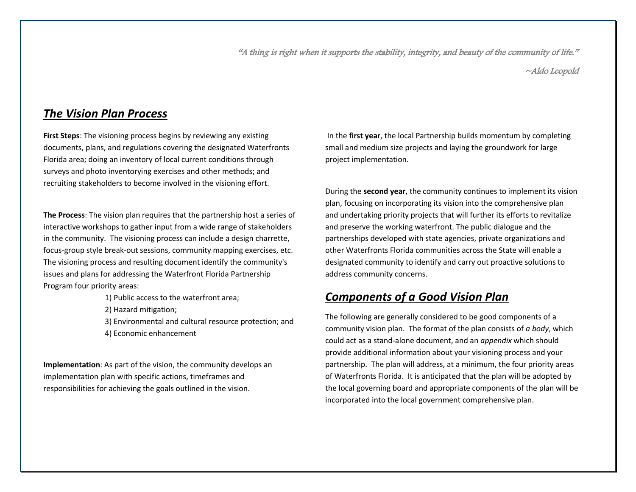"A thing is right when it supports the stability, integrity, and beauty of the community of life."

~Aldo Leopold

## <span id="page-3-0"></span>*The Vision Plan Process*

**First Steps**: The visioning process begins by reviewing any existing documents, plans, and regulations covering the designated Waterfronts Florida area; doing an inventory of local current conditions through surveys and photo inventorying exercises and other methods; and recruiting stakeholders to become involved in the visioning effort.

**The Process**: The vision plan requires that the partnership host a series of interactive workshops to gather input from a wide range of stakeholders in the community. The visioning process can include a design charrette, focus-group style break-out sessions, community mapping exercises, etc. The visioning process and resulting document identify the community's issues and plans for addressing the Waterfront Florida Partnership Program four priority areas:

- 1) Public access to the waterfront area;
- 2) Hazard mitigation;
- 3) Environmental and cultural resource protection; and 4) Economic enhancement

<span id="page-3-1"></span>**Implementation**: As part of the vision, the community develops an implementation plan with specific actions, timeframes and responsibilities for achieving the goals outlined in the vision.

In the **first year**, the local Partnership builds momentum by completing small and medium size projects and laying the groundwork for large project implementation.

During the **second year**, the community continues to implement its vision plan, focusing on incorporating its vision into the comprehensive plan and undertaking priority projects that will further its efforts to revitalize and preserve the working waterfront. The public dialogue and the partnerships developed with state agencies, private organizations and other Waterfronts Florida communities across the State will enable a designated community to identify and carry out proactive solutions to address community concerns.

## *Components of a Good Vision Plan*

The following are generally considered to be good components of a community vision plan. The format of the plan consists of *a body*, which could act as a stand-alone document, and an *appendix* which should provide additional information about your visioning process and your partnership. The plan will address, at a minimum, the four priority areas of Waterfronts Florida. It is anticipated that the plan will be adopted by the local governing board and appropriate components of the plan will be incorporated into the local government comprehensive plan.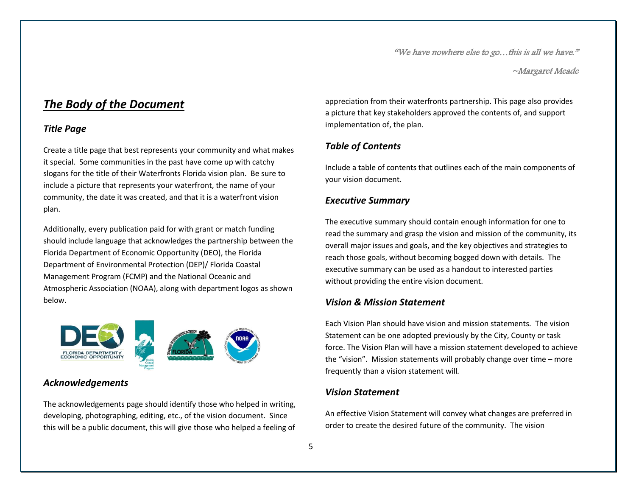~Margaret Meade

## *The Body of the Document*

## *Title Page*

Create a title page that best represents your community and what makes it special. Some communities in the past have come up with catchy slogans for the title of their Waterfronts Florida vision plan. Be sure to include a picture that represents your waterfront, the name of your community, the date it was created, and that it is a waterfront vision plan.

Additionally, every publication paid for with grant or match funding should include language that acknowledges the partnership between the Florida Department of Economic Opportunity (DEO), the Florida Department of Environmental Protection (DEP)/ Florida Coastal Management Program (FCMP) and the National Oceanic and Atmospheric Association (NOAA), along with department logos as shown below.



## *Acknowledgements*

The acknowledgements page should identify those who helped in writing, developing, photographing, editing, etc., of the vision document. Since this will be a public document, this will give those who helped a feeling of appreciation from their waterfronts partnership. This page also provides a picture that key stakeholders approved the contents of, and support implementation of, the plan.

## *Table of Contents*

Include a table of contents that outlines each of the main components of your vision document.

## *Executive Summary*

The executive summary should contain enough information for one to read the summary and grasp the vision and mission of the community, its overall major issues and goals, and the key objectives and strategies to reach those goals, without becoming bogged down with details. The executive summary can be used as a handout to interested parties without providing the entire vision document.

## *Vision & Mission Statement*

Each Vision Plan should have vision and mission statements. The vision Statement can be one adopted previously by the City, County or task force. The Vision Plan will have a mission statement developed to achieve the "vision". Mission statements will probably change over time – more frequently than a vision statement will*.*

## *Vision Statement*

An effective Vision Statement will convey what changes are preferred in order to create the desired future of the community. The vision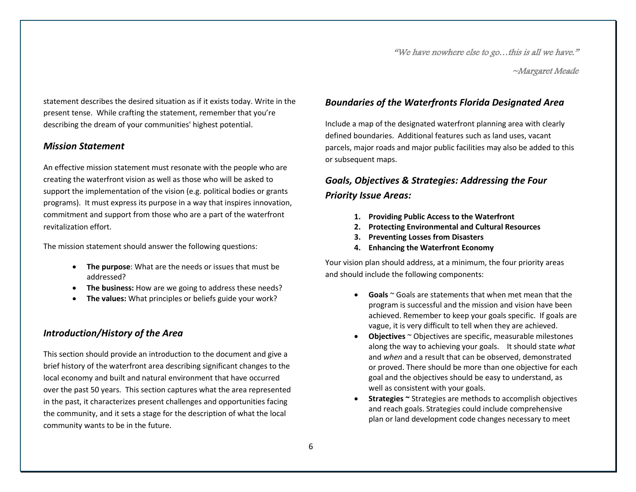~Margaret Meade

statement describes the desired situation as if it exists today. Write in the present tense. While crafting the statement, remember that you're describing the dream of your communities' highest potential.

#### *Mission Statement*

An effective mission statement must resonate with the people who are creating the waterfront vision as well as those who will be asked to support the implementation of the vision (e.g. political bodies or grants programs). It must express its purpose in a way that inspires innovation, commitment and support from those who are a part of the waterfront revitalization effort.

The mission statement should answer the following questions:

- **The purpose**: What are the needs or issues that must be addressed?
- **The business:** How are we going to address these needs?
- **The values:** What principles or beliefs guide your work?

## *Introduction/History of the Area*

This section should provide an introduction to the document and give a brief history of the waterfront area describing significant changes to the local economy and built and natural environment that have occurred over the past 50 years. This section captures what the area represented in the past, it characterizes present challenges and opportunities facing the community, and it sets a stage for the description of what the local community wants to be in the future.

## *Boundaries of the Waterfronts Florida Designated Area*

Include a map of the designated waterfront planning area with clearly defined boundaries. Additional features such as land uses, vacant parcels, major roads and major public facilities may also be added to this or subsequent maps.

## *Goals, Objectives & Strategies: Addressing the Four Priority Issue Areas:*

- **1. Providing Public Access to the Waterfront**
- **2. Protecting Environmental and Cultural Resources**
- **3. Preventing Losses from Disasters**
- **4. Enhancing the Waterfront Economy**

Your vision plan should address, at a minimum, the four priority areas and should include the following components:

- **Goals** ~ Goals are statements that when met mean that the program is successful and the mission and vision have been achieved. Remember to keep your goals specific. If goals are vague, it is very difficult to tell when they are achieved.
- **Objectives** ~ Objectives are specific, measurable milestones along the way to achieving your goals. It should state *what* and *when* and a result that can be observed, demonstrated or proved. There should be more than one objective for each goal and the objectives should be easy to understand, as well as consistent with your goals.
- **Strategies ~** Strategies are methods to accomplish objectives and reach goals. Strategies could include comprehensive plan or land development code changes necessary to meet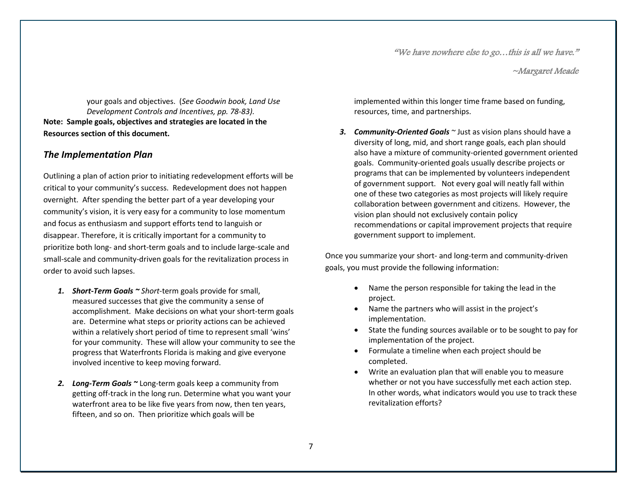~Margaret Meade

your goals and objectives. (*See Goodwin book, Land Use Development Controls and Incentives, pp. 78-83).* **Note: Sample goals, objectives and strategies are located in the Resources section of this document.**

#### *The Implementation Plan*

Outlining a plan of action prior to initiating redevelopment efforts will be critical to your community's success. Redevelopment does not happen overnight. After spending the better part of a year developing your community's vision, it is very easy for a community to lose momentum and focus as enthusiasm and support efforts tend to languish or disappear. Therefore, it is critically important for a community to prioritize both long- and short-term goals and to include large-scale and small-scale and community-driven goals for the revitalization process in order to avoid such lapses.

- *1. Short-Term Goals ~ Short*-term goals provide for small, measured successes that give the community a sense of accomplishment. Make decisions on what your short-term goals are. Determine what steps or priority actions can be achieved within a relatively short period of time to represent small 'wins' for your community. These will allow your community to see the progress that Waterfronts Florida is making and give everyone involved incentive to keep moving forward.
- *2. Long-Term Goals ~* Long-term goals keep a community from getting off-track in the long run. Determine what you want your waterfront area to be like five years from now, then ten years, fifteen, and so on. Then prioritize which goals will be

implemented within this longer time frame based on funding, resources, time, and partnerships.

*3. Community-Oriented Goals ~* Just as vision plans should have a diversity of long, mid, and short range goals, each plan should also have a mixture of community-oriented government oriented goals. Community-oriented goals usually describe projects or programs that can be implemented by volunteers independent of government support. Not every goal will neatly fall within one of these two categories as most projects will likely require collaboration between government and citizens. However, the vision plan should not exclusively contain policy recommendations or capital improvement projects that require government support to implement.

Once you summarize your short- and long-term and community-driven goals, you must provide the following information:

- Name the person responsible for taking the lead in the project.
- Name the partners who will assist in the project's implementation.
- State the funding sources available or to be sought to pay for implementation of the project.
- Formulate a timeline when each project should be completed.
- Write an evaluation plan that will enable you to measure whether or not you have successfully met each action step. In other words, what indicators would you use to track these revitalization efforts?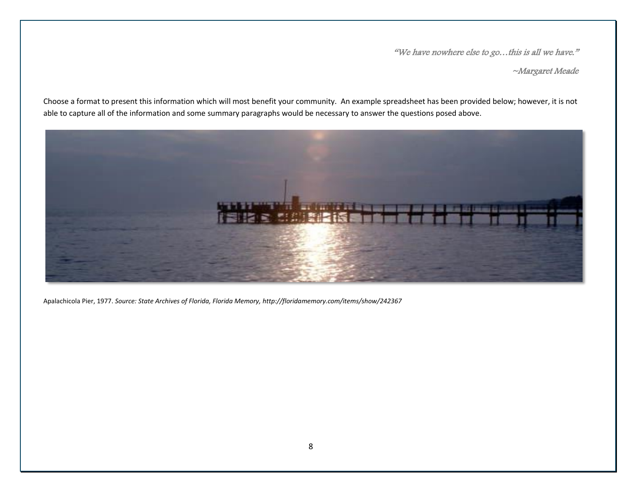~Margaret Meade

Choose a format to present this information which will most benefit your community. An example spreadsheet has been provided below; however, it is not able to capture all of the information and some summary paragraphs would be necessary to answer the questions posed above.



Apalachicola Pier, 1977. *Source: State Archives of Florida, Florida Memory, http://floridamemory.com/items/show/242367*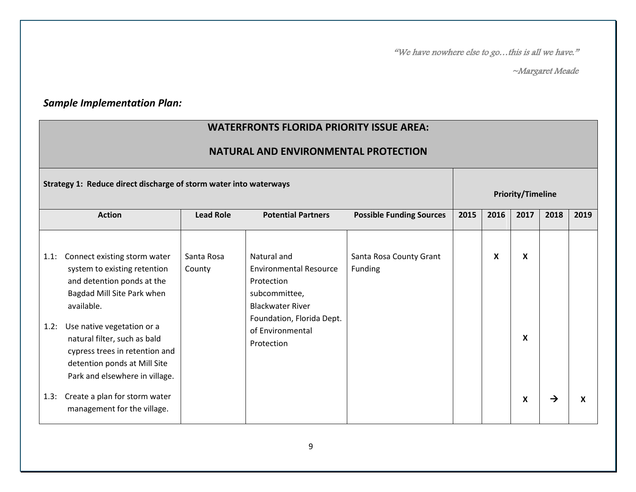~Margaret Meade

## *Sample Implementation Plan:*

## **WATERFRONTS FLORIDA PRIORITY ISSUE AREA:**

## **NATURAL AND ENVIRONMENTAL PROTECTION**

|              | Strategy 1: Reduce direct discharge of storm water into waterways                                                                                                                                                                                                                                        |                      |                                                                                                                                                                       |                                    | <b>Priority/Timeline</b> |      |        |      |      |
|--------------|----------------------------------------------------------------------------------------------------------------------------------------------------------------------------------------------------------------------------------------------------------------------------------------------------------|----------------------|-----------------------------------------------------------------------------------------------------------------------------------------------------------------------|------------------------------------|--------------------------|------|--------|------|------|
|              | <b>Action</b>                                                                                                                                                                                                                                                                                            | <b>Lead Role</b>     | <b>Potential Partners</b>                                                                                                                                             | <b>Possible Funding Sources</b>    | 2015                     | 2016 | 2017   | 2018 | 2019 |
| 1.1:<br>1.2: | Connect existing storm water<br>system to existing retention<br>and detention ponds at the<br>Bagdad Mill Site Park when<br>available.<br>Use native vegetation or a<br>natural filter, such as bald<br>cypress trees in retention and<br>detention ponds at Mill Site<br>Park and elsewhere in village. | Santa Rosa<br>County | Natural and<br><b>Environmental Resource</b><br>Protection<br>subcommittee,<br><b>Blackwater River</b><br>Foundation, Florida Dept.<br>of Environmental<br>Protection | Santa Rosa County Grant<br>Funding |                          | X    | X<br>X |      |      |
| 1.3:         | Create a plan for storm water<br>management for the village.                                                                                                                                                                                                                                             |                      |                                                                                                                                                                       |                                    |                          |      | X      | →    | X    |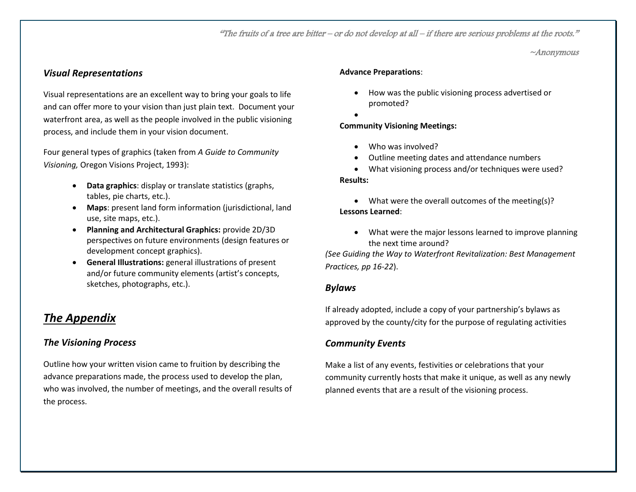"The fruits of a tree are bitter – or do not develop at all – if there are serious problems at the roots."

~Anonymous

#### *Visual Representations*

Visual representations are an excellent way to bring your goals to life and can offer more to your vision than just plain text. Document your waterfront area, as well as the people involved in the public visioning process, and include them in your vision document.

Four general types of graphics (taken from *A Guide to Community Visioning,* Oregon Visions Project, 1993):

- **Data graphics**: display or translate statistics (graphs, tables, pie charts, etc.).
- **Maps**: present land form information (jurisdictional, land use, site maps, etc.).
- **Planning and Architectural Graphics:** provide 2D/3D perspectives on future environments (design features or development concept graphics).
- **General Illustrations:** general illustrations of present and/or future community elements (artist's concepts, sketches, photographs, etc.).

## <span id="page-9-0"></span>*The Appendix*

#### *The Visioning Process*

Outline how your written vision came to fruition by describing the advance preparations made, the process used to develop the plan, who was involved, the number of meetings, and the overall results of the process.

#### **Advance Preparations**:

- How was the public visioning process advertised or promoted?
- $\bullet$

#### **Community Visioning Meetings:**

- Who was involved?
- Outline meeting dates and attendance numbers
- What visioning process and/or techniques were used? **Results:**

• What were the overall outcomes of the meeting(s)? **Lessons Learned**:

 What were the major lessons learned to improve planning the next time around?

*(See Guiding the Way to Waterfront Revitalization: Best Management Practices, pp 16-22*).

#### *Bylaws*

If already adopted, include a copy of your partnership's bylaws as approved by the county/city for the purpose of regulating activities

#### *Community Events*

Make a list of any events, festivities or celebrations that your community currently hosts that make it unique, as well as any newly planned events that are a result of the visioning process.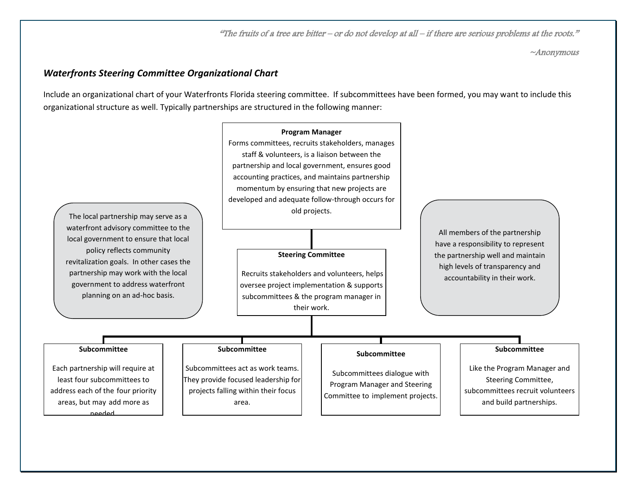"The fruits of a tree are bitter – or do not develop at all – if there are serious problems at the roots."

~Anonymous

#### *Waterfronts Steering Committee Organizational Chart*

Include an organizational chart of your Waterfronts Florida steering committee. If subcommittees have been formed, you may want to include this organizational structure as well. Typically partnerships are structured in the following manner:

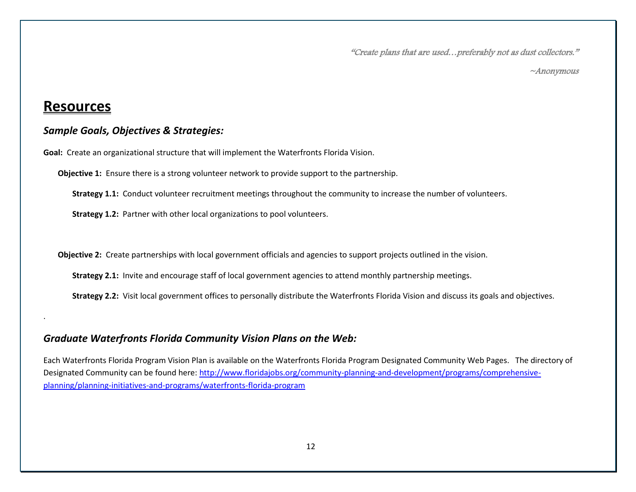"Create plans that are used…preferably not as dust collectors."

~Anonymous

## <span id="page-11-0"></span>**Resources**

.

#### *Sample Goals, Objectives & Strategies:*

**Goal:** Create an organizational structure that will implement the Waterfronts Florida Vision.

**Objective 1:** Ensure there is a strong volunteer network to provide support to the partnership.

**Strategy 1.1:** Conduct volunteer recruitment meetings throughout the community to increase the number of volunteers.

**Strategy 1.2:** Partner with other local organizations to pool volunteers.

**Objective 2:** Create partnerships with local government officials and agencies to support projects outlined in the vision.

**Strategy 2.1:** Invite and encourage staff of local government agencies to attend monthly partnership meetings.

**Strategy 2.2:** Visit local government offices to personally distribute the Waterfronts Florida Vision and discuss its goals and objectives.

## *Graduate Waterfronts Florida Community Vision Plans on the Web:*

Each Waterfronts Florida Program Vision Plan is available on the Waterfronts Florida Program Designated Community Web Pages. The directory of Designated Community can be found here: [http://www.floridajobs.org/community-planning-and-development/programs/comprehensive](http://www.floridajobs.org/community-planning-and-development/programs/comprehensive-planning/planning-initiatives-and-programs/waterfronts-florida-program)[planning/planning-initiatives-and-programs/waterfronts-florida-program](http://www.floridajobs.org/community-planning-and-development/programs/comprehensive-planning/planning-initiatives-and-programs/waterfronts-florida-program)